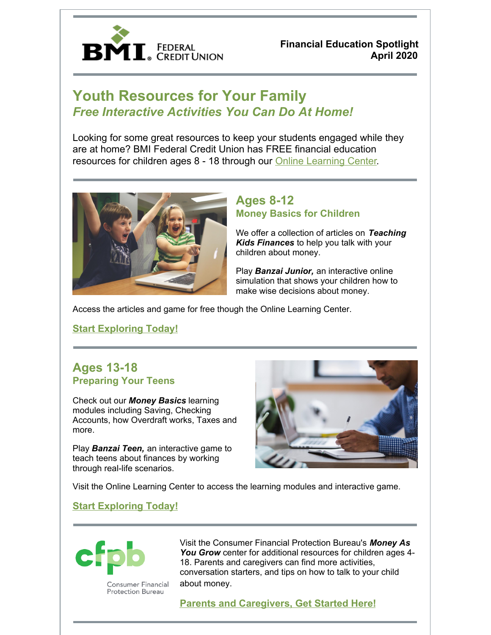

**Financial Education Spotlight April 2020**

# **Youth Resources for Your Family** *Free Interactive Activities You Can Do At Home!*

Looking for some great resources to keep your students engaged while they are at home? BMI Federal Credit Union has FREE financial education resources for children ages 8 - 18 through our Online [Learning](https://www.bmifcu.org/onlinelearning.html) Center.



# **Ages 8-12 Money Basics for Children**

We offer a collection of articles on *Teaching Kids Finances* to help you talk with your children about money.

Play *Banzai Junior,* an interactive online simulation that shows your children how to make wise decisions about money.

Access the articles and game for free though the Online Learning Center.

**Start [Exploring](https://www.bmifcu.org/onlinelearning.html) Today!**

## **Ages 13-18 Preparing Your Teens**

Check out our *Money Basics* learning modules including Saving, Checking Accounts, how Overdraft works, Taxes and more.

Play *Banzai Teen,* an interactive game to teach teens about finances by working through real-life scenarios.



Visit the Online Learning Center to access the learning modules and interactive game.

#### **Start [Exploring](https://www.bmifcu.org/onlinelearning.html) Today!**



Consumer Financial **Protection Bureau** 

Visit the Consumer Financial Protection Bureau's *Money As You Grow* center for additional resources for children ages 4- 18. Parents and caregivers can find more activities, conversation starters, and tips on how to talk to your child about money.

**Parents and [Caregivers,](https://www.consumerfinance.gov/consumer-tools/money-as-you-grow/) Get Started Here!**